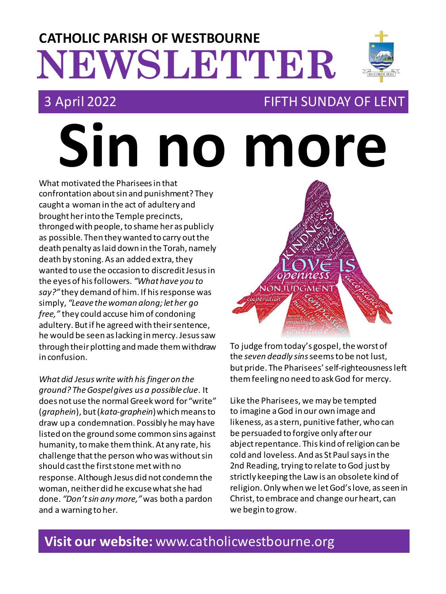# **NEWSLETTER CATHOLIC PARISH OF WESTBOURNE**

### 3 April 2022 FIFTH SUNDAY OF LENT

**Sin no more** What motivated the Pharisees in that confrontation about sin and punishment? They caught a woman in the act of adultery and brought her into the Temple precincts, thronged with people, to shame her as publicly as possible. Then they wanted to carry out the death penalty as laid down in the Torah, namely death by stoning. As an added extra, they wanted to use the occasion to discredit Jesus in the eyes of his followers. *"What have you to say?"* they demand of him. If his response was simply, *"Leave the woman along; let her go free,"* they could accuse him of condoning adultery. But if he agreed with their sentence, he would be seen as lacking in mercy. Jesus saw through their plotting and made them withdraw in confusion.

*What did Jesus write with his finger on the ground? The Gospel gives us a possible clue*. It does not use the normal Greek word for "write" (*graphein*), but(*kata-graphein*) which means to draw up a condemnation. Possibly he may have listed on the ground some common sins against humanity, to make them think. At any rate, his challenge that the person who was without sin should cast the first stone met with no response. Although Jesus did not condemn the woman, neither did he excuse what she had done. *"Don't sin any more,"*was both a pardon and a warning to her.



To judge from today's gospel, theworst of the *seven deadly sins*seems to be not lust, but pride. The Pharisees' self-righteousness left them feeling no need to askGod for mercy.

Like the Pharisees, we may be tempted to imagine a God in our own image and likeness, as a stern, punitive father, who can be persuaded to forgive only after our abjectrepentance. This kind of religion can be cold and loveless. And as St Paul says in the 2nd Reading, trying to relate to God just by strictly keeping the Law is an obsolete kind of religion.Only when we let God's love, as seen in Christ, to embrace and change our heart, can we begin to grow.

## **Visit our website:** www.catholicwestbourne.org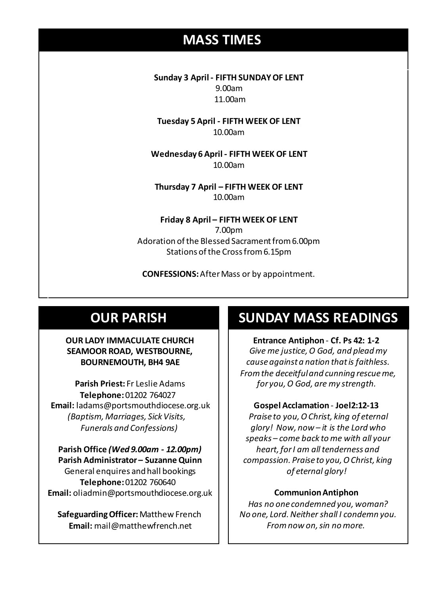### **MASS TIMES**

**Sunday 3 April - FIFTH SUNDAY OF LENT** 9.00am 11.00am

**Tuesday 5 April - FIFTH WEEK OF LENT** 10.00am

**Sunday 11th 9am:** *The Parish* **11am** *Tim Mc Cann* **Wednesday 14th** *Repose of the souls of Bernard Charles and Elsie May Pratt* **Wednesday 6 April - FIFTH WEEK OF LENT** 10.00am

**Saturday 16th** *Rosemarie Schofield RIP* **Thursday 7 April – FIFTH WEEK OF LENT Sunday 18th 11am** *The Parish*  10.00am

> **Friday 8 April – FIFTH WEEK OF LENT** 7.00pm Adoration of the Blessed Sacrament from 6.00pm Stations of the Cross from 6.15pm

**CONFESSIONS:**After Mass or by appointment.

### **OUR PARISH**

### **OUR LADY IMMACULATE CHURCH SEAMOOR ROAD, WESTBOURNE, BOURNEMOUTH, BH4 9AE**

**Parish Priest:** Fr Leslie Adams **Telephone:**01202 764027 **Email:** ladams@portsmouthdiocese.org.uk *(Baptism, Marriages, Sick Visits, Funerals and Confessions)*

**Parish Office** *(Wed 9.00am - 12.00pm)* **Parish Administrator – Suzanne Quinn** General enquires andhall bookings **Telephone:**01202 760640 **Email:** oliadmin@portsmouthdiocese.org.uk

**Safeguarding Officer:**Matthew French **Email:** mail@matthewfrench.net

### **SUNDAY MASS READINGS**

**Entrance Antiphon** - **Cf. Ps 42: 1-2** *Give me justice, O God, and plead my cause against a nation that is faithless. From the deceitful and cunning rescue me, for you, O God, are my strength.* 

### **Gospel Acclamation** - **Joel2:12-13**

*Praise to you, O Christ, king of eternal glory! Now, now – it is the Lord who speaks – come back to me with all your heart, for I am all tenderness and compassion. Praise to you, O Christ, king of eternal glory!*

### **Communion Antiphon**

*Has no one condemned you, woman? No one, Lord. Neither shall I condemn you. From now on, sin no more.*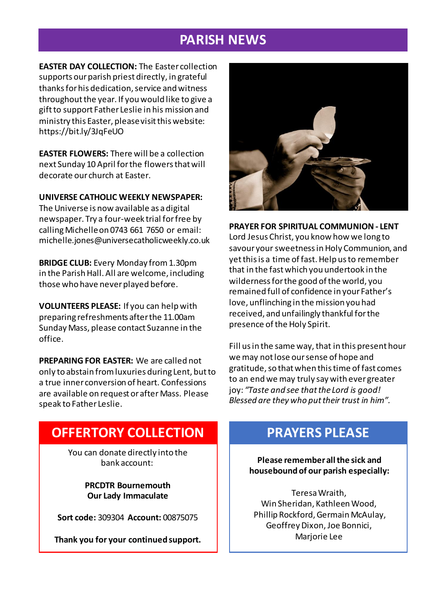### **PARISH NEWS**

**EASTER DAY COLLECTION:** The Easter collection supports our parish priest directly, in grateful thanks for his dedication, service and witness throughout the year. If you would like to give a gift to support Father Leslie in his mission and ministry this Easter, please visit this website: https://bit.ly/3JqFeUO

**EASTER FLOWERS:** There will be a collection next Sunday 10 April for the flowers that will decorate our church at Easter.

**UNIVERSE CATHOLIC WEEKLY NEWSPAPER:** 

The Universe is now available as a digital newspaper. Try a four-week trial for free by calling Michelle on 0743 661 7650 or email: michelle.jones@universecatholicweekly.co.uk

**BRIDGE CLUB:** Every Monday from 1.30pm in the Parish Hall. All are welcome, including those who have never played before.

**VOLUNTEERS PLEASE:** If you can help with preparing refreshments after the 11.00am Sunday Mass, please contact Suzanne in the office.

**PREPARING FOR EASTER:** We are called not only to abstain from luxuries during Lent, but to a true inner conversion of heart. Confessions are available on request or after Mass. Please speak to Father Leslie.



**PRAYER FOR SPIRITUAL COMMUNION - LENT** Lord Jesus Christ, you know how we long to savour your sweetness in Holy Communion, and yet this is a time of fast. Help us to remember that in the fast which you undertook in the wilderness for the good of the world, you remained full of confidence in your Father's love, unflinching in the mission you had received, and unfailingly thankful for the presence of the Holy Spirit.

Fill us in the same way, that in this present hour we may not lose our sense of hope and gratitude, so that when this time of fast comes to an end we may truly say with ever greater joy: *"Taste and see that the Lord is good! Blessed are they who put their trust in him".*

### **OFFERTORY COLLECTION**

You can donate directly into the bank account:

> **PRCDTR Bournemouth Our Lady Immaculate**

**Sort code:** 309304 **Account:** 00875075

**Thank you for your continued support.**

### **PRAYERS PLEASE**

**Please remember all the sick and housebound of our parish especially:**

Teresa Wraith, Win Sheridan, Kathleen Wood, Phillip Rockford, Germain McAulay, Geoffrey Dixon, Joe Bonnici, Marjorie Lee